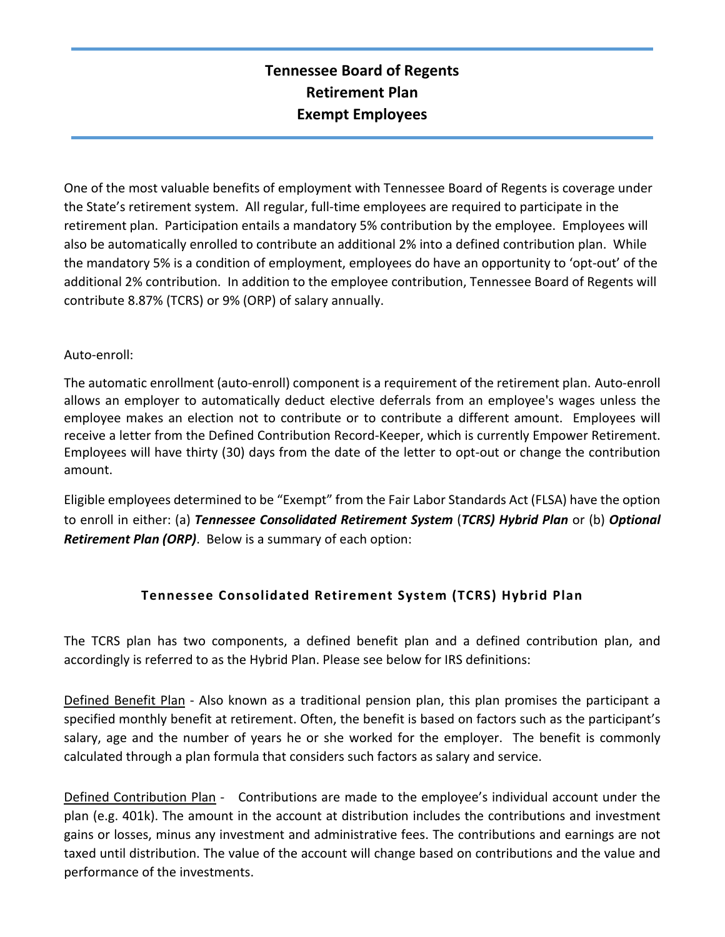# **Tennessee Board of Regents Retirement Plan Exempt Employees**

One of the most valuable benefits of employment with Tennessee Board of Regents is coverage under the State's retirement system. All regular, full‐time employees are required to participate in the retirement plan. Participation entails a mandatory 5% contribution by the employee. Employees will also be automatically enrolled to contribute an additional 2% into a defined contribution plan. While the mandatory 5% is a condition of employment, employees do have an opportunity to 'opt‐out' of the additional 2% contribution. In addition to the employee contribution, Tennessee Board of Regents will contribute 8.87% (TCRS) or 9% (ORP) of salary annually.

## Auto‐enroll:

The automatic enrollment (auto‐enroll) component is a requirement of the retirement plan. Auto‐enroll allows an employer to automatically deduct elective deferrals from an employee's wages unless the employee makes an election not to contribute or to contribute a different amount. Employees will receive a letter from the Defined Contribution Record‐Keeper, which is currently Empower Retirement. Employees will have thirty (30) days from the date of the letter to opt‐out or change the contribution amount.

Eligible employees determined to be "Exempt" from the Fair Labor Standards Act (FLSA) have the option to enroll in either: (a) *Tennessee Consolidated Retirement System* (*TCRS) Hybrid Plan* or (b) *Optional Retirement Plan (ORP)*. Below is a summary of each option:

# **Tennessee Consolidated Retirement System (TCRS) Hybrid Plan**

The TCRS plan has two components, a defined benefit plan and a defined contribution plan, and accordingly is referred to as the Hybrid Plan. Please see below for IRS definitions:

Defined Benefit Plan - Also known as a traditional pension plan, this plan promises the participant a specified monthly benefit at retirement. Often, the benefit is based on factors such as the participant's salary, age and the number of years he or she worked for the employer. The benefit is commonly calculated through a plan formula that considers such factors as salary and service.

Defined Contribution Plan - Contributions are made to the employee's individual account under the plan (e.g. 401k). The amount in the account at distribution includes the contributions and investment gains or losses, minus any investment and administrative fees. The contributions and earnings are not taxed until distribution. The value of the account will change based on contributions and the value and performance of the investments.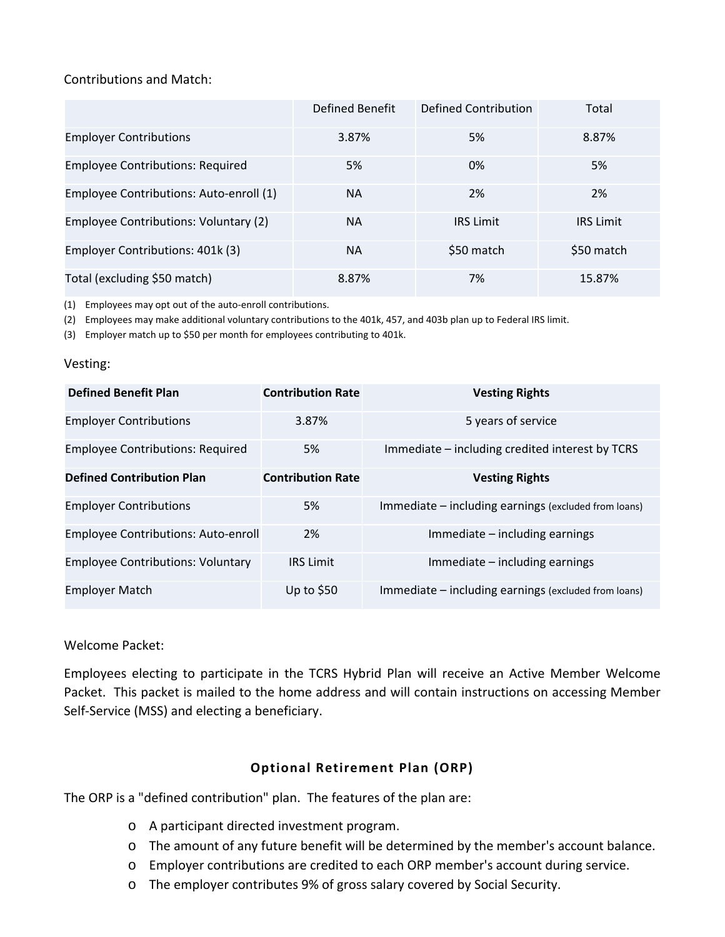## Contributions and Match:

|                                         | Defined Benefit | Defined Contribution | Total            |
|-----------------------------------------|-----------------|----------------------|------------------|
| <b>Employer Contributions</b>           | 3.87%           | 5%                   | 8.87%            |
| <b>Employee Contributions: Required</b> | 5%              | 0%                   | 5%               |
| Employee Contributions: Auto-enroll (1) | <b>NA</b>       | 2%                   | 2%               |
| Employee Contributions: Voluntary (2)   | <b>NA</b>       | <b>IRS Limit</b>     | <b>IRS Limit</b> |
| Employer Contributions: 401k (3)        | <b>NA</b>       | \$50 match           | \$50 match       |
| Total (excluding \$50 match)            | 8.87%           | 7%                   | 15.87%           |

(1) Employees may opt out of the auto‐enroll contributions.

(2) Employees may make additional voluntary contributions to the 401k, 457, and 403b plan up to Federal IRS limit.

(3) Employer match up to \$50 per month for employees contributing to 401k.

#### Vesting:

| <b>Defined Benefit Plan</b>                | <b>Contribution Rate</b> | <b>Vesting Rights</b>                                |
|--------------------------------------------|--------------------------|------------------------------------------------------|
| <b>Employer Contributions</b>              | 3.87%                    | 5 years of service                                   |
| <b>Employee Contributions: Required</b>    | 5%                       | Immediate - including credited interest by TCRS      |
| <b>Defined Contribution Plan</b>           | <b>Contribution Rate</b> | <b>Vesting Rights</b>                                |
| <b>Employer Contributions</b>              | 5%                       | Immediate – including earnings (excluded from loans) |
| <b>Employee Contributions: Auto-enroll</b> | 2%                       | $Immediate - including earnings$                     |
| <b>Employee Contributions: Voluntary</b>   | <b>IRS Limit</b>         | $Immediate - including earnings$                     |
| <b>Employer Match</b>                      | Up to $$50$              | Immediate – including earnings (excluded from loans) |

## Welcome Packet:

Employees electing to participate in the TCRS Hybrid Plan will receive an Active Member Welcome Packet. This packet is mailed to the home address and will contain instructions on accessing Member Self‐Service (MSS) and electing a beneficiary.

# **Optional Retirement Plan (ORP)**

The ORP is a "defined contribution" plan. The features of the plan are:

- o A participant directed investment program.
- o The amount of any future benefit will be determined by the member's account balance.
- o Employer contributions are credited to each ORP member's account during service.
- o The employer contributes 9% of gross salary covered by Social Security.